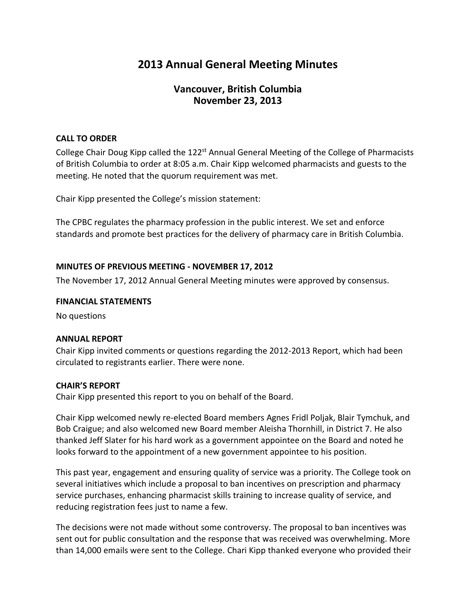# **2013 Annual General Meeting Minutes**

# **Vancouver, British Columbia November 23, 2013**

## **CALL TO ORDER**

College Chair Doug Kipp called the 122<sup>st</sup> Annual General Meeting of the College of Pharmacists of British Columbia to order at 8:05 a.m. Chair Kipp welcomed pharmacists and guests to the meeting. He noted that the quorum requirement was met.

Chair Kipp presented the College's mission statement:

The CPBC regulates the pharmacy profession in the public interest. We set and enforce standards and promote best practices for the delivery of pharmacy care in British Columbia.

#### **MINUTES OF PREVIOUS MEETING - NOVEMBER 17, 2012**

The November 17, 2012 Annual General Meeting minutes were approved by consensus.

#### **FINANCIAL STATEMENTS**

No questions

## **ANNUAL REPORT**

Chair Kipp invited comments or questions regarding the 2012-2013 Report, which had been circulated to registrants earlier. There were none.

## **CHAIR'S REPORT**

Chair Kipp presented this report to you on behalf of the Board.

Chair Kipp welcomed newly re-elected Board members Agnes Fridl Poljak, Blair Tymchuk, and Bob Craigue; and also welcomed new Board member Aleisha Thornhill, in District 7. He also thanked Jeff Slater for his hard work as a government appointee on the Board and noted he looks forward to the appointment of a new government appointee to his position.

This past year, engagement and ensuring quality of service was a priority. The College took on several initiatives which include a proposal to ban incentives on prescription and pharmacy service purchases, enhancing pharmacist skills training to increase quality of service, and reducing registration fees just to name a few.

The decisions were not made without some controversy. The proposal to ban incentives was sent out for public consultation and the response that was received was overwhelming. More than 14,000 emails were sent to the College. Chari Kipp thanked everyone who provided their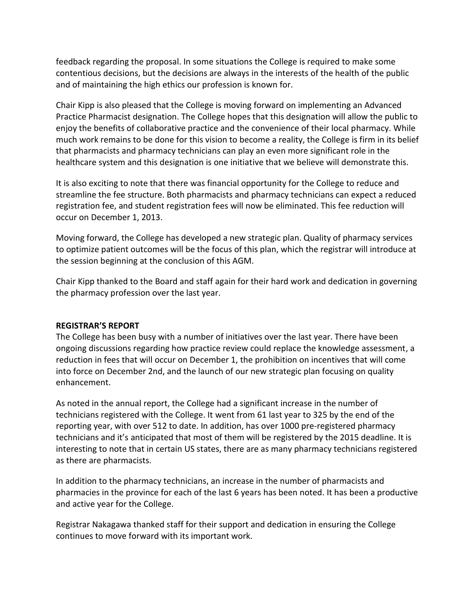feedback regarding the proposal. In some situations the College is required to make some contentious decisions, but the decisions are always in the interests of the health of the public and of maintaining the high ethics our profession is known for.

Chair Kipp is also pleased that the College is moving forward on implementing an Advanced Practice Pharmacist designation. The College hopes that this designation will allow the public to enjoy the benefits of collaborative practice and the convenience of their local pharmacy. While much work remains to be done for this vision to become a reality, the College is firm in its belief that pharmacists and pharmacy technicians can play an even more significant role in the healthcare system and this designation is one initiative that we believe will demonstrate this.

It is also exciting to note that there was financial opportunity for the College to reduce and streamline the fee structure. Both pharmacists and pharmacy technicians can expect a reduced registration fee, and student registration fees will now be eliminated. This fee reduction will occur on December 1, 2013.

Moving forward, the College has developed a new strategic plan. Quality of pharmacy services to optimize patient outcomes will be the focus of this plan, which the registrar will introduce at the session beginning at the conclusion of this AGM.

Chair Kipp thanked to the Board and staff again for their hard work and dedication in governing the pharmacy profession over the last year.

## **REGISTRAR'S REPORT**

The College has been busy with a number of initiatives over the last year. There have been ongoing discussions regarding how practice review could replace the knowledge assessment, a reduction in fees that will occur on December 1, the prohibition on incentives that will come into force on December 2nd, and the launch of our new strategic plan focusing on quality enhancement.

As noted in the annual report, the College had a significant increase in the number of technicians registered with the College. It went from 61 last year to 325 by the end of the reporting year, with over 512 to date. In addition, has over 1000 pre-registered pharmacy technicians and it's anticipated that most of them will be registered by the 2015 deadline. It is interesting to note that in certain US states, there are as many pharmacy technicians registered as there are pharmacists.

In addition to the pharmacy technicians, an increase in the number of pharmacists and pharmacies in the province for each of the last 6 years has been noted. It has been a productive and active year for the College.

Registrar Nakagawa thanked staff for their support and dedication in ensuring the College continues to move forward with its important work.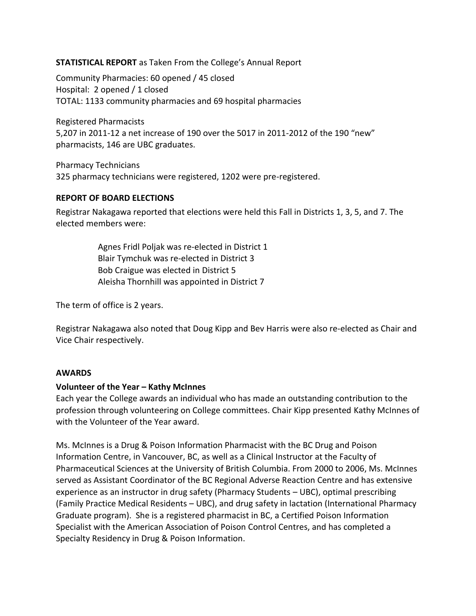# **STATISTICAL REPORT** as Taken From the College's Annual Report

Community Pharmacies: 60 opened / 45 closed Hospital: 2 opened / 1 closed TOTAL: 1133 community pharmacies and 69 hospital pharmacies

Registered Pharmacists 5,207 in 2011-12 a net increase of 190 over the 5017 in 2011-2012 of the 190 "new" pharmacists, 146 are UBC graduates.

Pharmacy Technicians 325 pharmacy technicians were registered, 1202 were pre-registered.

#### **REPORT OF BOARD ELECTIONS**

Registrar Nakagawa reported that elections were held this Fall in Districts 1, 3, 5, and 7. The elected members were:

> Agnes Fridl Poljak was re-elected in District 1 Blair Tymchuk was re-elected in District 3 Bob Craigue was elected in District 5 Aleisha Thornhill was appointed in District 7

The term of office is 2 years.

Registrar Nakagawa also noted that Doug Kipp and Bev Harris were also re-elected as Chair and Vice Chair respectively.

#### **AWARDS**

## **Volunteer of the Year – Kathy McInnes**

Each year the College awards an individual who has made an outstanding contribution to the profession through volunteering on College committees. Chair Kipp presented Kathy McInnes of with the Volunteer of the Year award.

Ms. McInnes is a Drug & Poison Information Pharmacist with the BC Drug and Poison Information Centre, in Vancouver, BC, as well as a Clinical Instructor at the Faculty of Pharmaceutical Sciences at the University of British Columbia. From 2000 to 2006, Ms. McInnes served as Assistant Coordinator of the BC Regional Adverse Reaction Centre and has extensive experience as an instructor in drug safety (Pharmacy Students – UBC), optimal prescribing (Family Practice Medical Residents – UBC), and drug safety in lactation (International Pharmacy Graduate program). She is a registered pharmacist in BC, a Certified Poison Information Specialist with the American Association of Poison Control Centres, and has completed a Specialty Residency in Drug & Poison Information.